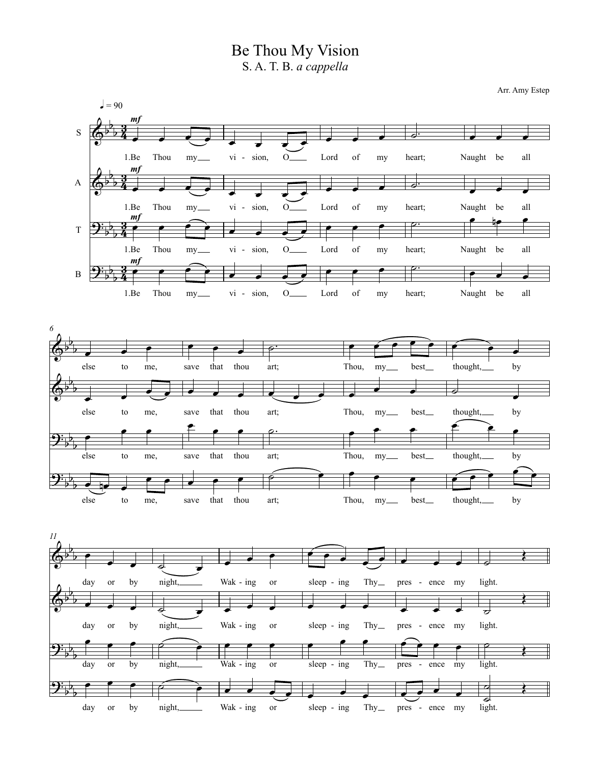Be Thou My Vision S. A. T. B. *a cappella*

Arr. Amy Estep

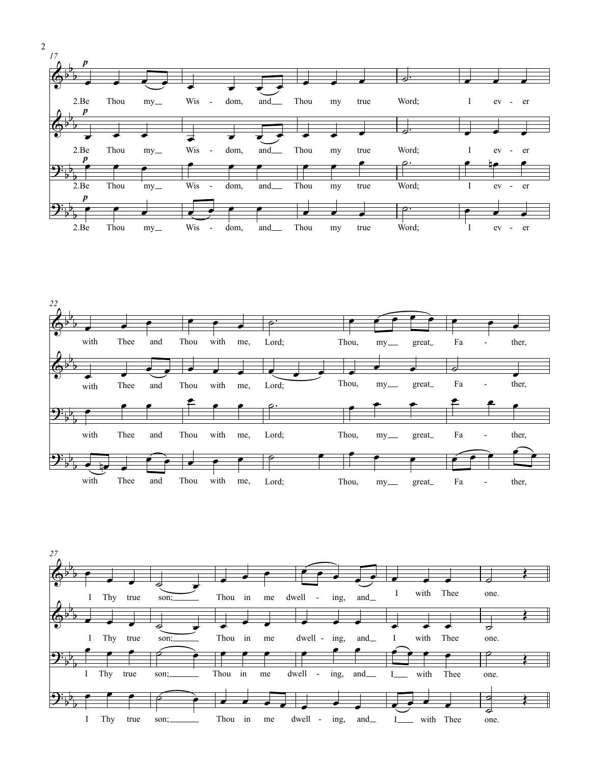





2